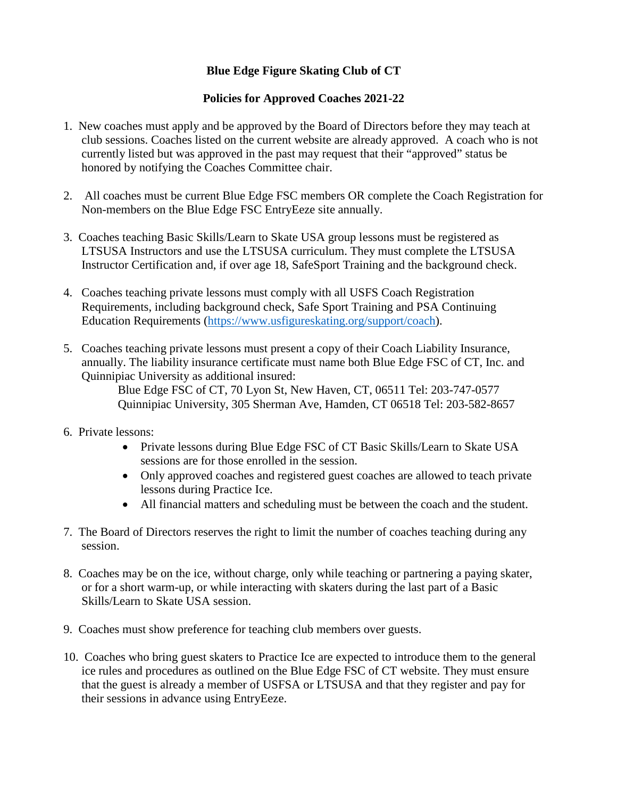## **Blue Edge Figure Skating Club of CT**

## **Policies for Approved Coaches 2021-22**

- 1. New coaches must apply and be approved by the Board of Directors before they may teach at club sessions. Coaches listed on the current website are already approved. A coach who is not currently listed but was approved in the past may request that their "approved" status be honored by notifying the Coaches Committee chair.
- 2. All coaches must be current Blue Edge FSC members OR complete the Coach Registration for Non-members on the Blue Edge FSC EntryEeze site annually.
- 3. Coaches teaching Basic Skills/Learn to Skate USA group lessons must be registered as LTSUSA Instructors and use the LTSUSA curriculum. They must complete the LTSUSA Instructor Certification and, if over age 18, SafeSport Training and the background check.
- 4. Coaches teaching private lessons must comply with all USFS Coach Registration Requirements, including background check, Safe Sport Training and PSA Continuing Education Requirements [\(https://www.usfigureskating.org/support/coach\)](https://www.usfigureskating.org/support/coach).
- 5. Coaches teaching private lessons must present a copy of their Coach Liability Insurance, annually. The liability insurance certificate must name both Blue Edge FSC of CT, Inc. and Quinnipiac University as additional insured:

Blue Edge FSC of CT, 70 Lyon St, New Haven, CT, 06511 Tel: 203-747-0577 Quinnipiac University, 305 Sherman Ave, Hamden, CT 06518 Tel: 203-582-8657

- 6. Private lessons:
	- Private lessons during Blue Edge FSC of CT Basic Skills/Learn to Skate USA sessions are for those enrolled in the session.
	- Only approved coaches and registered guest coaches are allowed to teach private lessons during Practice Ice.
	- All financial matters and scheduling must be between the coach and the student.
- 7. The Board of Directors reserves the right to limit the number of coaches teaching during any session.
- 8. Coaches may be on the ice, without charge, only while teaching or partnering a paying skater, or for a short warm-up, or while interacting with skaters during the last part of a Basic Skills/Learn to Skate USA session.
- 9. Coaches must show preference for teaching club members over guests.
- 10. Coaches who bring guest skaters to Practice Ice are expected to introduce them to the general ice rules and procedures as outlined on the Blue Edge FSC of CT website. They must ensure that the guest is already a member of USFSA or LTSUSA and that they register and pay for their sessions in advance using EntryEeze.